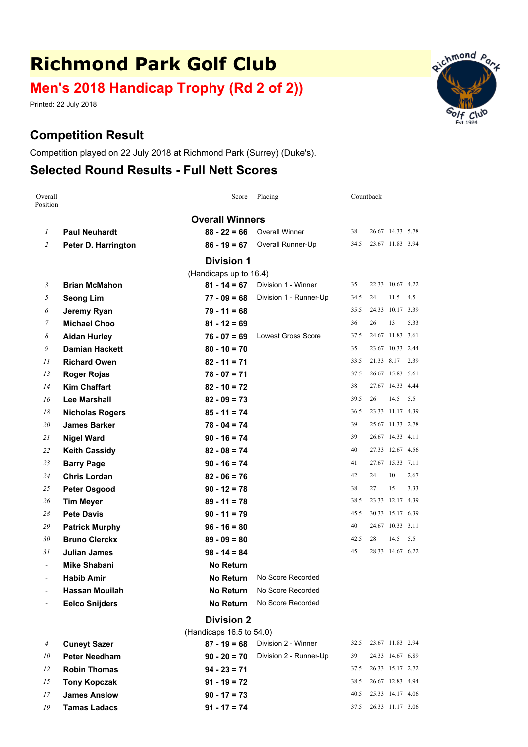# **Richmond Park Golf Club**

## **Men's 2018 Handicap Trophy (Rd 2 of 2))**

Printed: 22 July 2018

### **Competition Result**

Competition played on 22 July 2018 at Richmond Park (Surrey) (Duke's).

### **Selected Round Results - Full Nett Scores**

| Overall<br>Position      |                        | Score                    | Placing                   | Countback |                  |            |      |
|--------------------------|------------------------|--------------------------|---------------------------|-----------|------------------|------------|------|
|                          |                        | <b>Overall Winners</b>   |                           |           |                  |            |      |
| 1                        | <b>Paul Neuhardt</b>   | $88 - 22 = 66$           | <b>Overall Winner</b>     | 38        | 26.67 14.33 5.78 |            |      |
| 2                        | Peter D. Harrington    | $86 - 19 = 67$           | Overall Runner-Up         | 34.5      | 23.67 11.83 3.94 |            |      |
|                          |                        | <b>Division 1</b>        |                           |           |                  |            |      |
|                          |                        | (Handicaps up to 16.4)   |                           |           |                  |            |      |
| 3                        | <b>Brian McMahon</b>   | $81 - 14 = 67$           | Division 1 - Winner       | 35        | 22.33 10.67 4.22 |            |      |
| 5                        | <b>Seong Lim</b>       | $77 - 09 = 68$           | Division 1 - Runner-Up    | 34.5      | 24               | 11.5       | 4.5  |
| 6                        | Jeremy Ryan            | $79 - 11 = 68$           |                           | 35.5      | 24.33 10.17 3.39 |            |      |
| 7                        | <b>Michael Choo</b>    | $81 - 12 = 69$           |                           | 36        | 26               | 13         | 5.33 |
| 8                        | <b>Aidan Hurley</b>    | $76 - 07 = 69$           | <b>Lowest Gross Score</b> | 37.5      | 24.67 11.83 3.61 |            |      |
| 9                        | <b>Damian Hackett</b>  | $80 - 10 = 70$           |                           | 35        | 23.67 10.33 2.44 |            |      |
| 11                       | <b>Richard Owen</b>    | $82 - 11 = 71$           |                           | 33.5      | 21.33 8.17       |            | 2.39 |
| 13                       | <b>Roger Rojas</b>     | $78 - 07 = 71$           |                           | 37.5      | 26.67 15.83 5.61 |            |      |
| 14                       | <b>Kim Chaffart</b>    | $82 - 10 = 72$           |                           | 38        | 27.67 14.33 4.44 |            |      |
| 16                       | <b>Lee Marshall</b>    | $82 - 09 = 73$           |                           | 39.5      | 26               | $14.5$ 5.5 |      |
| 18                       | <b>Nicholas Rogers</b> | $85 - 11 = 74$           |                           | 36.5      | 23.33 11.17 4.39 |            |      |
| 20                       | <b>James Barker</b>    | $78 - 04 = 74$           |                           | 39        | 25.67 11.33 2.78 |            |      |
| 21                       | <b>Nigel Ward</b>      | $90 - 16 = 74$           |                           | 39        | 26.67 14.33 4.11 |            |      |
| 22                       | <b>Keith Cassidy</b>   | $82 - 08 = 74$           |                           | 40        | 27.33 12.67 4.56 |            |      |
| 23                       | <b>Barry Page</b>      | $90 - 16 = 74$           |                           | 41        | 27.67 15.33 7.11 |            |      |
| 24                       | <b>Chris Lordan</b>    | $82 - 06 = 76$           |                           | 42        | 24               | 10         | 2.67 |
| 25                       | <b>Peter Osgood</b>    | $90 - 12 = 78$           |                           | 38        | 27               | 15         | 3.33 |
| 26                       | <b>Tim Meyer</b>       | $89 - 11 = 78$           |                           | 38.5      | 23.33 12.17 4.39 |            |      |
| 28                       | <b>Pete Davis</b>      | $90 - 11 = 79$           |                           | 45.5      | 30.33 15.17 6.39 |            |      |
| 29                       | <b>Patrick Murphy</b>  | $96 - 16 = 80$           |                           | 40        | 24.67 10.33 3.11 |            |      |
| 30                       | <b>Bruno Clerckx</b>   | $89 - 09 = 80$           |                           | 42.5      | 28               | 14.5       | 5.5  |
| 31                       | <b>Julian James</b>    | $98 - 14 = 84$           |                           | 45        | 28.33 14.67 6.22 |            |      |
| $\overline{\phantom{0}}$ | <b>Mike Shabani</b>    | <b>No Return</b>         |                           |           |                  |            |      |
|                          | <b>Habib Amir</b>      | <b>No Return</b>         | No Score Recorded         |           |                  |            |      |
|                          | <b>Hassan Mouilah</b>  | No Return                | No Score Recorded         |           |                  |            |      |
|                          | <b>Eelco Snijders</b>  | <b>No Return</b>         | No Score Recorded         |           |                  |            |      |
|                          |                        | <b>Division 2</b>        |                           |           |                  |            |      |
|                          |                        | (Handicaps 16.5 to 54.0) |                           |           |                  |            |      |
| 4                        | <b>Cuneyt Sazer</b>    | $87 - 19 = 68$           | Division 2 - Winner       | 32.5      | 23.67 11.83 2.94 |            |      |
| 10                       | <b>Peter Needham</b>   | $90 - 20 = 70$           | Division 2 - Runner-Up    | 39        | 24.33 14.67 6.89 |            |      |
| 12                       | <b>Robin Thomas</b>    | $94 - 23 = 71$           |                           | 37.5      | 26.33 15.17 2.72 |            |      |
| 15                       | <b>Tony Kopczak</b>    | $91 - 19 = 72$           |                           | 38.5      | 26.67 12.83 4.94 |            |      |

*17* **James Anslow 90 - 17 <sup>=</sup> 73** 40.5 25.33 14.17 4.06 *19* **Tamas Ladacs 91 - 17 <sup>=</sup> 74** 37.5 26.33 11.17 3.06